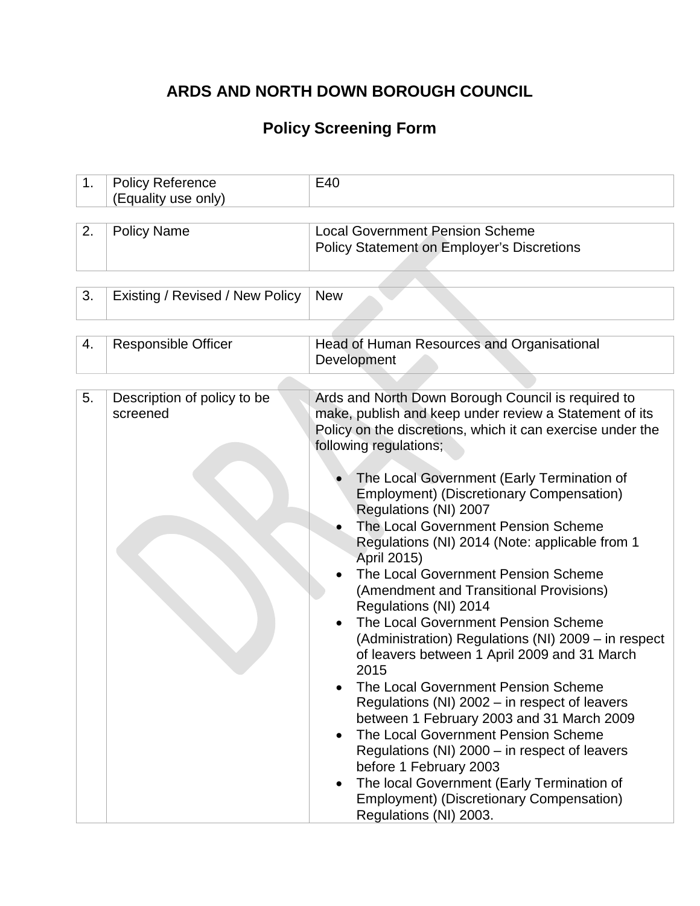# **ARDS AND NORTH DOWN BOROUGH COUNCIL**

# **Policy Screening Form**

| 1. | <b>Policy Reference</b><br>(Equality use only) | E40                                                                                                                                                                                                                                                                                                                                                                                                                                                                                                                                                                                                                                                                                                                                                                                                                                                                                                                                                                                                                                                                                       |  |
|----|------------------------------------------------|-------------------------------------------------------------------------------------------------------------------------------------------------------------------------------------------------------------------------------------------------------------------------------------------------------------------------------------------------------------------------------------------------------------------------------------------------------------------------------------------------------------------------------------------------------------------------------------------------------------------------------------------------------------------------------------------------------------------------------------------------------------------------------------------------------------------------------------------------------------------------------------------------------------------------------------------------------------------------------------------------------------------------------------------------------------------------------------------|--|
|    |                                                |                                                                                                                                                                                                                                                                                                                                                                                                                                                                                                                                                                                                                                                                                                                                                                                                                                                                                                                                                                                                                                                                                           |  |
| 2. | <b>Policy Name</b>                             | <b>Local Government Pension Scheme</b><br><b>Policy Statement on Employer's Discretions</b>                                                                                                                                                                                                                                                                                                                                                                                                                                                                                                                                                                                                                                                                                                                                                                                                                                                                                                                                                                                               |  |
|    |                                                |                                                                                                                                                                                                                                                                                                                                                                                                                                                                                                                                                                                                                                                                                                                                                                                                                                                                                                                                                                                                                                                                                           |  |
| 3. | Existing / Revised / New Policy                | <b>New</b>                                                                                                                                                                                                                                                                                                                                                                                                                                                                                                                                                                                                                                                                                                                                                                                                                                                                                                                                                                                                                                                                                |  |
|    |                                                |                                                                                                                                                                                                                                                                                                                                                                                                                                                                                                                                                                                                                                                                                                                                                                                                                                                                                                                                                                                                                                                                                           |  |
| 4. | <b>Responsible Officer</b>                     | Head of Human Resources and Organisational<br>Development                                                                                                                                                                                                                                                                                                                                                                                                                                                                                                                                                                                                                                                                                                                                                                                                                                                                                                                                                                                                                                 |  |
|    |                                                |                                                                                                                                                                                                                                                                                                                                                                                                                                                                                                                                                                                                                                                                                                                                                                                                                                                                                                                                                                                                                                                                                           |  |
| 5. | Description of policy to be<br>screened        | Ards and North Down Borough Council is required to<br>make, publish and keep under review a Statement of its<br>Policy on the discretions, which it can exercise under the<br>following regulations;<br>The Local Government (Early Termination of<br><b>Employment) (Discretionary Compensation)</b><br>Regulations (NI) 2007<br>The Local Government Pension Scheme<br>Regulations (NI) 2014 (Note: applicable from 1<br>April 2015)<br>The Local Government Pension Scheme<br>(Amendment and Transitional Provisions)<br>Regulations (NI) 2014<br>The Local Government Pension Scheme<br>(Administration) Regulations (NI) 2009 – in respect<br>of leavers between 1 April 2009 and 31 March<br>2015<br>The Local Government Pension Scheme<br>Regulations (NI) 2002 – in respect of leavers<br>between 1 February 2003 and 31 March 2009<br>The Local Government Pension Scheme<br>Regulations (NI) 2000 – in respect of leavers<br>before 1 February 2003<br>The local Government (Early Termination of<br><b>Employment) (Discretionary Compensation)</b><br>Regulations (NI) 2003. |  |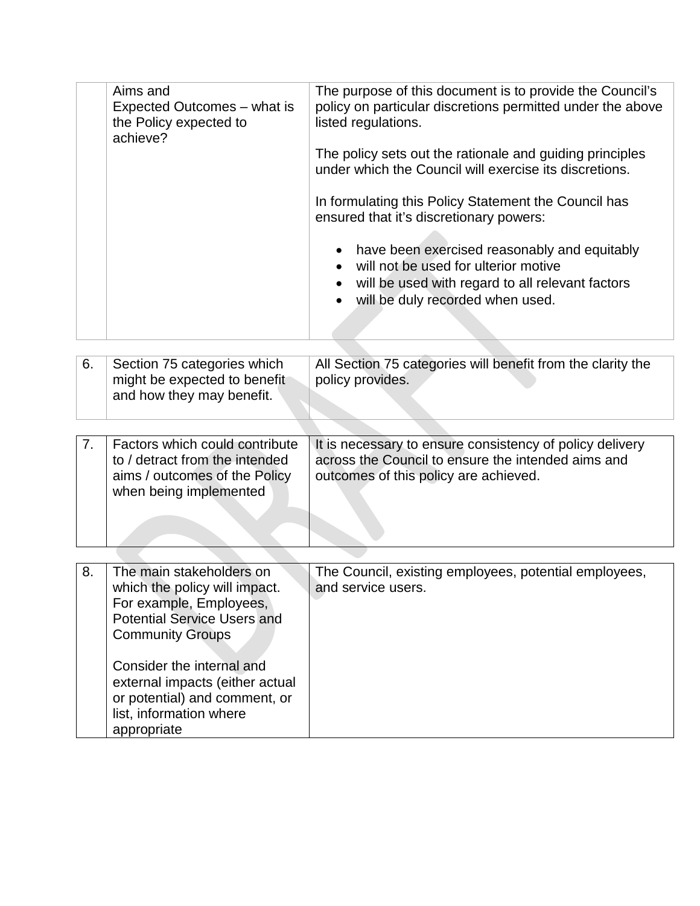| Aims and<br>Expected Outcomes – what is<br>the Policy expected to<br>achieve? | The purpose of this document is to provide the Council's<br>policy on particular discretions permitted under the above<br>listed regulations. |
|-------------------------------------------------------------------------------|-----------------------------------------------------------------------------------------------------------------------------------------------|
|                                                                               | The policy sets out the rationale and guiding principles<br>under which the Council will exercise its discretions.                            |
|                                                                               | In formulating this Policy Statement the Council has<br>ensured that it's discretionary powers:                                               |
|                                                                               | • have been exercised reasonably and equitably<br>will not be used for ulterior motive                                                        |
|                                                                               | will be used with regard to all relevant factors<br>• will be duly recorded when used.                                                        |
|                                                                               |                                                                                                                                               |

| -6. | Section 75 categories which<br>might be expected to benefit<br>and how they may benefit. | All Section 75 categories will benefit from the clarity the<br>policy provides. |
|-----|------------------------------------------------------------------------------------------|---------------------------------------------------------------------------------|
|     |                                                                                          |                                                                                 |

| Factors which could contribute<br>to / detract from the intended<br>aims / outcomes of the Policy<br>when being implemented | It is necessary to ensure consistency of policy delivery<br>across the Council to ensure the intended aims and<br>outcomes of this policy are achieved. |
|-----------------------------------------------------------------------------------------------------------------------------|---------------------------------------------------------------------------------------------------------------------------------------------------------|
| المستمر المالون المسامي والمسامر                                                                                            | The Original contribution construction and stated completed a                                                                                           |

| 8. | The main stakeholders on                                                                                                 | The Council, existing employees, potential employees, |
|----|--------------------------------------------------------------------------------------------------------------------------|-------------------------------------------------------|
|    | which the policy will impact.                                                                                            | and service users.                                    |
|    | For example, Employees,                                                                                                  |                                                       |
|    | <b>Potential Service Users and</b>                                                                                       |                                                       |
|    | <b>Community Groups</b>                                                                                                  |                                                       |
|    | Consider the internal and<br>external impacts (either actual<br>or potential) and comment, or<br>list, information where |                                                       |
|    | appropriate                                                                                                              |                                                       |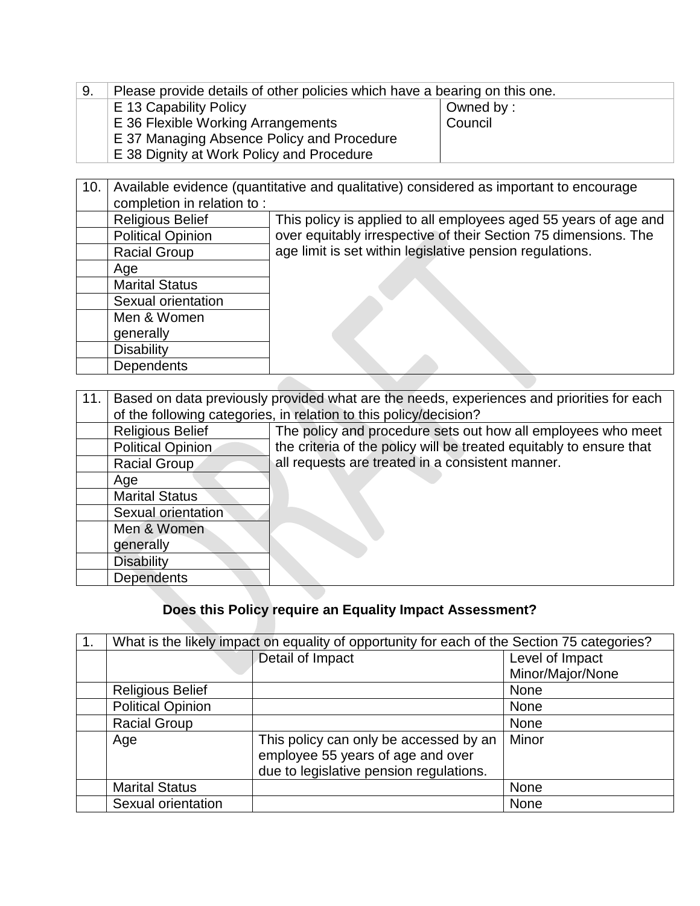| -9. | Please provide details of other policies which have a bearing on this one. |  |  |
|-----|----------------------------------------------------------------------------|--|--|
|     | E 13 Capability Policy<br>Owned by:                                        |  |  |
|     | Council<br>E 36 Flexible Working Arrangements                              |  |  |
|     | E 37 Managing Absence Policy and Procedure                                 |  |  |
|     | <b>E</b> 38 Dignity at Work Policy and Procedure                           |  |  |

| 10. | Available evidence (quantitative and qualitative) considered as important to encourage |                                                                  |  |  |
|-----|----------------------------------------------------------------------------------------|------------------------------------------------------------------|--|--|
|     | completion in relation to:                                                             |                                                                  |  |  |
|     | <b>Religious Belief</b>                                                                | This policy is applied to all employees aged 55 years of age and |  |  |
|     | <b>Political Opinion</b>                                                               | over equitably irrespective of their Section 75 dimensions. The  |  |  |
|     | <b>Racial Group</b>                                                                    | age limit is set within legislative pension regulations.         |  |  |
|     | Age                                                                                    |                                                                  |  |  |
|     | <b>Marital Status</b>                                                                  |                                                                  |  |  |
|     | Sexual orientation                                                                     |                                                                  |  |  |
|     | Men & Women                                                                            |                                                                  |  |  |
|     | generally                                                                              |                                                                  |  |  |
|     | <b>Disability</b>                                                                      |                                                                  |  |  |
|     | <b>Dependents</b>                                                                      |                                                                  |  |  |
|     |                                                                                        |                                                                  |  |  |

| 11. | Based on data previously provided what are the needs, experiences and priorities for each |                                                                     |  |  |
|-----|-------------------------------------------------------------------------------------------|---------------------------------------------------------------------|--|--|
|     | of the following categories, in relation to this policy/decision?                         |                                                                     |  |  |
|     | <b>Religious Belief</b>                                                                   | The policy and procedure sets out how all employees who meet        |  |  |
|     | Political Opinion                                                                         | the criteria of the policy will be treated equitably to ensure that |  |  |
|     | Racial Group                                                                              | all requests are treated in a consistent manner.                    |  |  |
|     | Age                                                                                       |                                                                     |  |  |
|     | <b>Marital Status</b>                                                                     |                                                                     |  |  |
|     | Sexual orientation                                                                        |                                                                     |  |  |
|     | Men & Women                                                                               |                                                                     |  |  |
|     | generally                                                                                 |                                                                     |  |  |
|     | <b>Disability</b>                                                                         |                                                                     |  |  |
|     | <b>Dependents</b>                                                                         |                                                                     |  |  |

### **Does this Policy require an Equality Impact Assessment?**

| What is the likely impact on equality of opportunity for each of the Section 75 categories? |                                         |                  |  |
|---------------------------------------------------------------------------------------------|-----------------------------------------|------------------|--|
|                                                                                             | Detail of Impact                        | Level of Impact  |  |
|                                                                                             |                                         | Minor/Major/None |  |
| <b>Religious Belief</b>                                                                     |                                         | <b>None</b>      |  |
| <b>Political Opinion</b>                                                                    |                                         | None             |  |
| <b>Racial Group</b>                                                                         |                                         | <b>None</b>      |  |
| Age                                                                                         | This policy can only be accessed by an  | Minor            |  |
|                                                                                             | employee 55 years of age and over       |                  |  |
|                                                                                             | due to legislative pension regulations. |                  |  |
| <b>Marital Status</b>                                                                       |                                         | None             |  |
| Sexual orientation                                                                          |                                         | None             |  |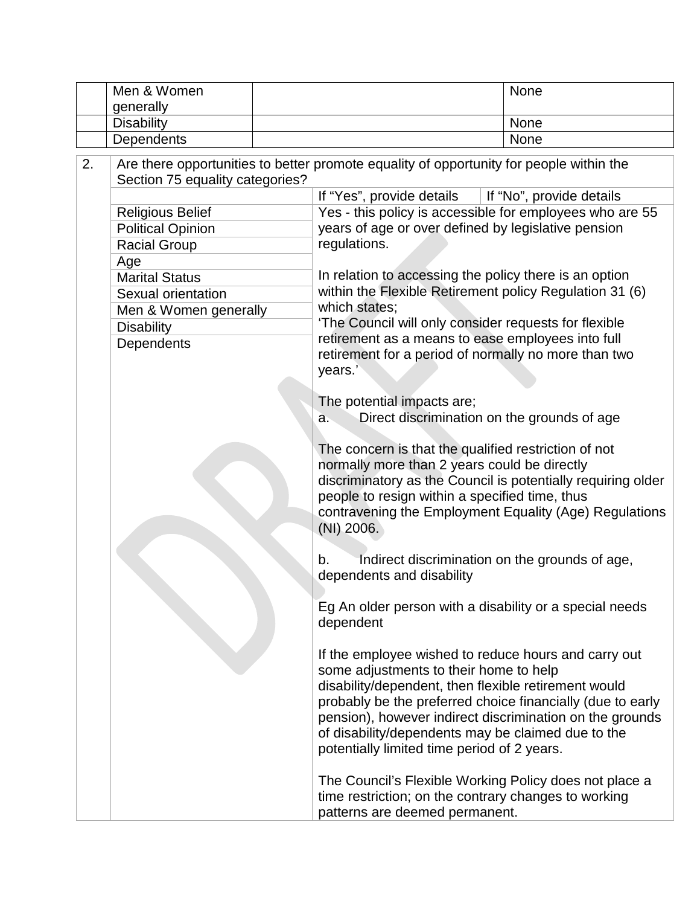|    | Men & Women                                                                                                                |                                                              |                                                                                                | None |
|----|----------------------------------------------------------------------------------------------------------------------------|--------------------------------------------------------------|------------------------------------------------------------------------------------------------|------|
|    | generally                                                                                                                  |                                                              |                                                                                                |      |
|    | <b>Disability</b>                                                                                                          |                                                              |                                                                                                | None |
|    | None<br>Dependents                                                                                                         |                                                              |                                                                                                |      |
| 2. | Are there opportunities to better promote equality of opportunity for people within the<br>Section 75 equality categories? |                                                              |                                                                                                |      |
|    | If "Yes", provide details   If "No", provide details                                                                       |                                                              |                                                                                                |      |
|    | <b>Religious Belief</b>                                                                                                    |                                                              | Yes - this policy is accessible for employees who are 55                                       |      |
|    | <b>Political Opinion</b>                                                                                                   |                                                              | years of age or over defined by legislative pension                                            |      |
|    | <b>Racial Group</b>                                                                                                        |                                                              | regulations.                                                                                   |      |
|    | Age                                                                                                                        |                                                              |                                                                                                |      |
|    | <b>Marital Status</b>                                                                                                      |                                                              | In relation to accessing the policy there is an option                                         |      |
|    | Sexual orientation                                                                                                         |                                                              | within the Flexible Retirement policy Regulation 31 (6)                                        |      |
|    | Men & Women generally                                                                                                      |                                                              | which states;                                                                                  |      |
|    | <b>Disability</b>                                                                                                          |                                                              | 'The Council will only consider requests for flexible                                          |      |
|    | Dependents                                                                                                                 |                                                              | retirement as a means to ease employees into full                                              |      |
|    |                                                                                                                            |                                                              | retirement for a period of normally no more than two                                           |      |
|    |                                                                                                                            |                                                              | years.'                                                                                        |      |
|    |                                                                                                                            |                                                              |                                                                                                |      |
|    |                                                                                                                            |                                                              | The potential impacts are;<br>Direct discrimination on the grounds of age<br>a.                |      |
|    |                                                                                                                            |                                                              |                                                                                                |      |
|    |                                                                                                                            | The concern is that the qualified restriction of not         |                                                                                                |      |
|    | normally more than 2 years could be directly                                                                               |                                                              |                                                                                                |      |
|    |                                                                                                                            | discriminatory as the Council is potentially requiring older |                                                                                                |      |
|    |                                                                                                                            |                                                              | people to resign within a specified time, thus                                                 |      |
|    |                                                                                                                            |                                                              | contravening the Employment Equality (Age) Regulations                                         |      |
|    |                                                                                                                            |                                                              | $(NI)$ 2006.                                                                                   |      |
|    |                                                                                                                            |                                                              |                                                                                                |      |
|    |                                                                                                                            |                                                              | Indirect discrimination on the grounds of age,<br>b.                                           |      |
|    |                                                                                                                            |                                                              | dependents and disability                                                                      |      |
|    |                                                                                                                            |                                                              |                                                                                                |      |
|    |                                                                                                                            |                                                              | Eg An older person with a disability or a special needs                                        |      |
|    |                                                                                                                            |                                                              | dependent                                                                                      |      |
|    |                                                                                                                            |                                                              |                                                                                                |      |
|    |                                                                                                                            |                                                              | If the employee wished to reduce hours and carry out<br>some adjustments to their home to help |      |
|    |                                                                                                                            |                                                              | disability/dependent, then flexible retirement would                                           |      |
|    |                                                                                                                            |                                                              | probably be the preferred choice financially (due to early                                     |      |
|    |                                                                                                                            |                                                              | pension), however indirect discrimination on the grounds                                       |      |
|    |                                                                                                                            |                                                              | of disability/dependents may be claimed due to the                                             |      |
|    |                                                                                                                            |                                                              | potentially limited time period of 2 years.                                                    |      |
|    |                                                                                                                            |                                                              |                                                                                                |      |
|    |                                                                                                                            |                                                              | The Council's Flexible Working Policy does not place a                                         |      |
|    |                                                                                                                            |                                                              | time restriction; on the contrary changes to working                                           |      |
|    |                                                                                                                            |                                                              | patterns are deemed permanent.                                                                 |      |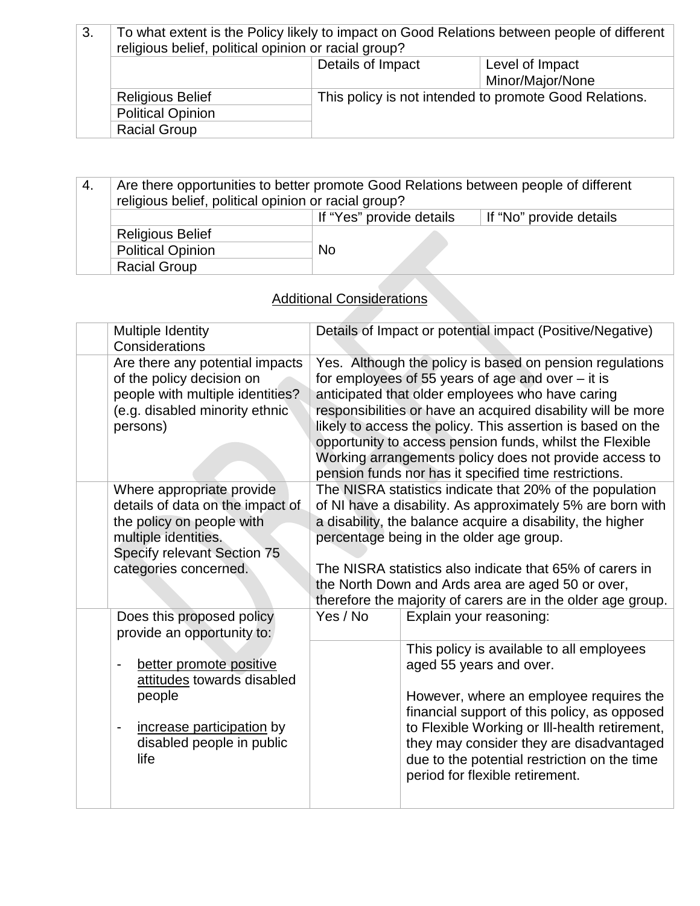| 3. | To what extent is the Policy likely to impact on Good Relations between people of different<br>religious belief, political opinion or racial group? |                                                        |  |  |
|----|-----------------------------------------------------------------------------------------------------------------------------------------------------|--------------------------------------------------------|--|--|
|    |                                                                                                                                                     | Details of Impact<br>Level of Impact                   |  |  |
|    |                                                                                                                                                     | Minor/Major/None                                       |  |  |
|    | <b>Religious Belief</b>                                                                                                                             | This policy is not intended to promote Good Relations. |  |  |
|    | <b>Political Opinion</b>                                                                                                                            |                                                        |  |  |
|    | <b>Racial Group</b>                                                                                                                                 |                                                        |  |  |

| 4. | Are there opportunities to better promote Good Relations between people of different<br>religious belief, political opinion or racial group? |                          |                         |
|----|----------------------------------------------------------------------------------------------------------------------------------------------|--------------------------|-------------------------|
|    |                                                                                                                                              | If "Yes" provide details | If "No" provide details |
|    | <b>Religious Belief</b>                                                                                                                      |                          |                         |
|    | <b>Political Opinion</b>                                                                                                                     | <b>No</b>                |                         |
|    | <b>Racial Group</b>                                                                                                                          |                          |                         |

## Additional Considerations

| Multiple Identity<br>Considerations                                                                                                                                        |                                                                                                                                                                                                                                                                                                                                                                                                                   | Details of Impact or potential impact (Positive/Negative)                                                                                                                                                                                                                                                                                                                                                                                                                         |  |
|----------------------------------------------------------------------------------------------------------------------------------------------------------------------------|-------------------------------------------------------------------------------------------------------------------------------------------------------------------------------------------------------------------------------------------------------------------------------------------------------------------------------------------------------------------------------------------------------------------|-----------------------------------------------------------------------------------------------------------------------------------------------------------------------------------------------------------------------------------------------------------------------------------------------------------------------------------------------------------------------------------------------------------------------------------------------------------------------------------|--|
| Are there any potential impacts<br>of the policy decision on<br>people with multiple identities?<br>(e.g. disabled minority ethnic<br>persons)                             |                                                                                                                                                                                                                                                                                                                                                                                                                   | Yes. Although the policy is based on pension regulations<br>for employees of 55 years of age and over $-$ it is<br>anticipated that older employees who have caring<br>responsibilities or have an acquired disability will be more<br>likely to access the policy. This assertion is based on the<br>opportunity to access pension funds, whilst the Flexible<br>Working arrangements policy does not provide access to<br>pension funds nor has it specified time restrictions. |  |
| Where appropriate provide<br>details of data on the impact of<br>the policy on people with<br>multiple identities.<br>Specify relevant Section 75<br>categories concerned. | The NISRA statistics indicate that 20% of the population<br>of NI have a disability. As approximately 5% are born with<br>a disability, the balance acquire a disability, the higher<br>percentage being in the older age group.<br>The NISRA statistics also indicate that 65% of carers in<br>the North Down and Ards area are aged 50 or over,<br>therefore the majority of carers are in the older age group. |                                                                                                                                                                                                                                                                                                                                                                                                                                                                                   |  |
| Does this proposed policy<br>provide an opportunity to:                                                                                                                    | Yes / No                                                                                                                                                                                                                                                                                                                                                                                                          | Explain your reasoning:                                                                                                                                                                                                                                                                                                                                                                                                                                                           |  |
| better promote positive<br>attitudes towards disabled<br>people<br>increase participation by<br>$\overline{\phantom{a}}$<br>disabled people in public<br>life              |                                                                                                                                                                                                                                                                                                                                                                                                                   | This policy is available to all employees<br>aged 55 years and over.<br>However, where an employee requires the<br>financial support of this policy, as opposed<br>to Flexible Working or III-health retirement,<br>they may consider they are disadvantaged<br>due to the potential restriction on the time<br>period for flexible retirement.                                                                                                                                   |  |
|                                                                                                                                                                            |                                                                                                                                                                                                                                                                                                                                                                                                                   |                                                                                                                                                                                                                                                                                                                                                                                                                                                                                   |  |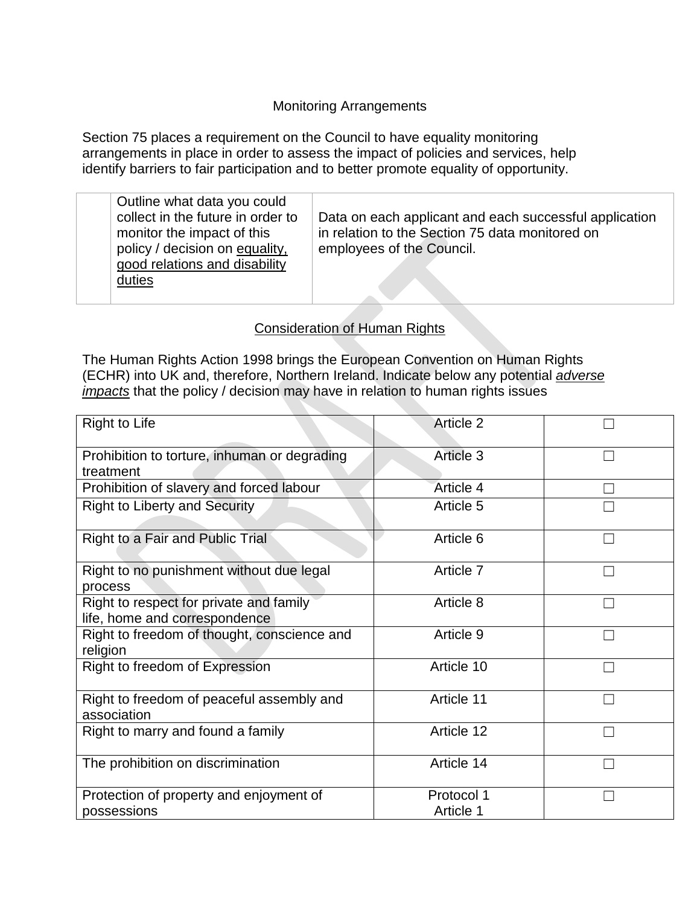### Monitoring Arrangements

Section 75 places a requirement on the Council to have equality monitoring arrangements in place in order to assess the impact of policies and services, help identify barriers to fair participation and to better promote equality of opportunity.

| Outline what data you could<br>collect in the future in order to<br>monitor the impact of this<br>policy / decision on equality,<br>good relations and disability<br>duties | Data on each applicant and each successful application<br>in relation to the Section 75 data monitored on<br>employees of the Council. |
|-----------------------------------------------------------------------------------------------------------------------------------------------------------------------------|----------------------------------------------------------------------------------------------------------------------------------------|
|                                                                                                                                                                             |                                                                                                                                        |

#### Consideration of Human Rights

The Human Rights Action 1998 brings the European Convention on Human Rights (ECHR) into UK and, therefore, Northern Ireland. Indicate below any potential *adverse impacts* that the policy / decision may have in relation to human rights issues

| <b>Right to Life</b>                                                     | <b>Article 2</b>        |  |
|--------------------------------------------------------------------------|-------------------------|--|
| Prohibition to torture, inhuman or degrading<br>treatment                | Article 3               |  |
| Prohibition of slavery and forced labour                                 | Article 4               |  |
| <b>Right to Liberty and Security</b>                                     | Article 5               |  |
| Right to a Fair and Public Trial                                         | Article 6               |  |
| Right to no punishment without due legal<br>process                      | Article 7               |  |
| Right to respect for private and family<br>life, home and correspondence | Article 8               |  |
| Right to freedom of thought, conscience and<br>religion                  | Article 9               |  |
| Right to freedom of Expression                                           | Article 10              |  |
| Right to freedom of peaceful assembly and<br>association                 | Article 11              |  |
| Right to marry and found a family                                        | Article 12              |  |
| The prohibition on discrimination                                        | Article 14              |  |
| Protection of property and enjoyment of<br>possessions                   | Protocol 1<br>Article 1 |  |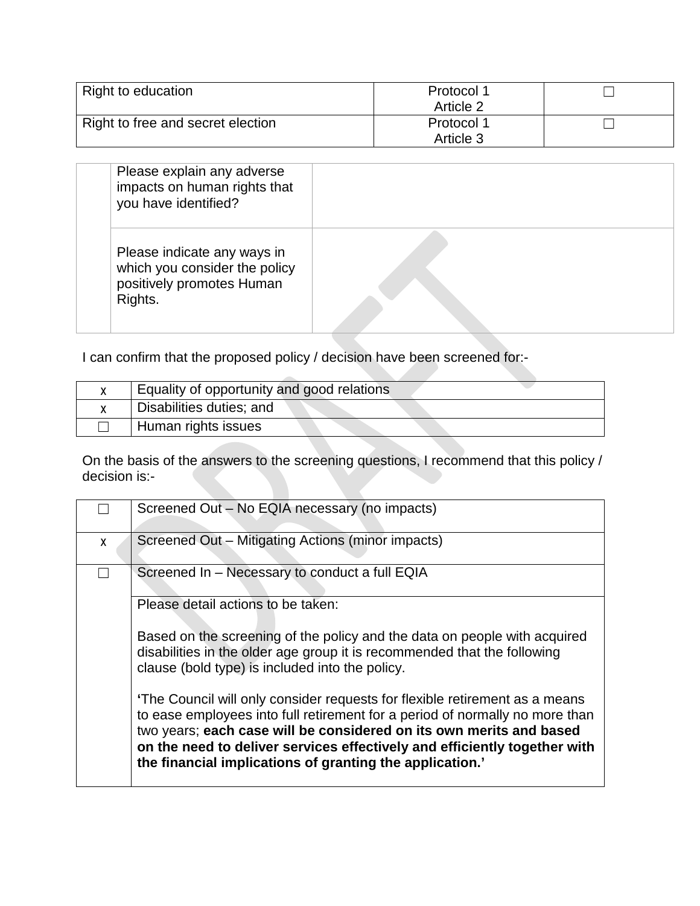| Right to education                | Protocol 1 |  |
|-----------------------------------|------------|--|
|                                   | Article 2  |  |
| Right to free and secret election | Protocol 1 |  |
|                                   | Article 3  |  |

| Please explain any adverse<br>impacts on human rights that<br>you have identified?                   |  |
|------------------------------------------------------------------------------------------------------|--|
| Please indicate any ways in<br>which you consider the policy<br>positively promotes Human<br>Rights. |  |

I can confirm that the proposed policy / decision have been screened for:-

| Equality of opportunity and good relations |
|--------------------------------------------|
| Disabilities duties; and                   |
| Human rights issues                        |

On the basis of the answers to the screening questions, I recommend that this policy / decision is:-

|   | Screened Out - No EQIA necessary (no impacts)                                                                                                                                                                                                                                                                                                                               |
|---|-----------------------------------------------------------------------------------------------------------------------------------------------------------------------------------------------------------------------------------------------------------------------------------------------------------------------------------------------------------------------------|
| X | Screened Out - Mitigating Actions (minor impacts)                                                                                                                                                                                                                                                                                                                           |
|   | Screened In - Necessary to conduct a full EQIA                                                                                                                                                                                                                                                                                                                              |
|   | Please detail actions to be taken:                                                                                                                                                                                                                                                                                                                                          |
|   | Based on the screening of the policy and the data on people with acquired<br>disabilities in the older age group it is recommended that the following<br>clause (bold type) is included into the policy.                                                                                                                                                                    |
|   | 'The Council will only consider requests for flexible retirement as a means<br>to ease employees into full retirement for a period of normally no more than<br>two years; each case will be considered on its own merits and based<br>on the need to deliver services effectively and efficiently together with<br>the financial implications of granting the application.' |